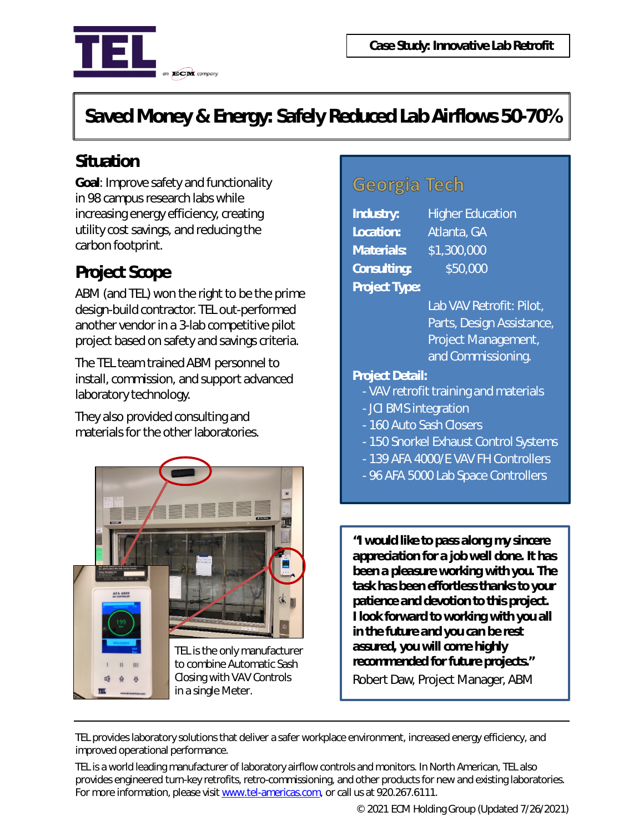

# *Saved Money & Energy: Safely Reduced Lab Airflows 50-70%*

## **Situation**

**Goal**: Improve safety and functionality in 98 campus research labs while increasing energy efficiency, creating utility cost savings, and reducing the carbon footprint.

## **Project Scope**

ABM (and TEL) won the right to be the prime design-build contractor. TEL out-performed another vendor in a 3-lab competitive pilot project based on safety and savings criteria.

The TEL team trained ABM personnel to install, commission, and support advanced laboratory technology.

They also provided consulting and materials for the other laboratories.



## Georgia Tech

| <b>Industry:</b>     | H                         |
|----------------------|---------------------------|
| Location:            | At                        |
| <b>Materials:</b>    | $\mathsf{S}^{\texttt{-}}$ |
| <b>Consulting:</b>   |                           |
| <b>Project Type:</b> |                           |

*<u>I</u>ndustrian* lanta, GA *Materials:* \$1,300,000 *Consulting:* \$50,000

Lab VAV Retrofit: Pilot, Parts, Design Assistance, Project Management, and Commissioning.

#### *Project Detail:*

- VAV retrofit training and materials
- JCI BMS integration
- 160 Auto Sash Closers
- 150 Snorkel Exhaust Control Systems
- 139 AFA 4000/E VAV FH Controllers
- 96 AFA 5000 Lab Space Controllers

*"I would like to pass along my sincere appreciation for a job well done. It has been a pleasure working with you. The task has been effortless thanks to your patience and devotion to this project. I look forward to working with you all in the future and you can be rest assured, you will come highly recommended for future projects."*

Robert Daw, Project Manager, ABM

TEL provides laboratory solutions that deliver a safer workplace environment, increased energy efficiency, and improved operational performance.

TEL is a world leading manufacturer of laboratory airflow controls and monitors. In North American, TEL also provides engineered turn-key retrofits, retro-commissioning, and other products for new and existing laboratories. For more information, please visit www.tel-americas.com, or call us at 920.267.6111.